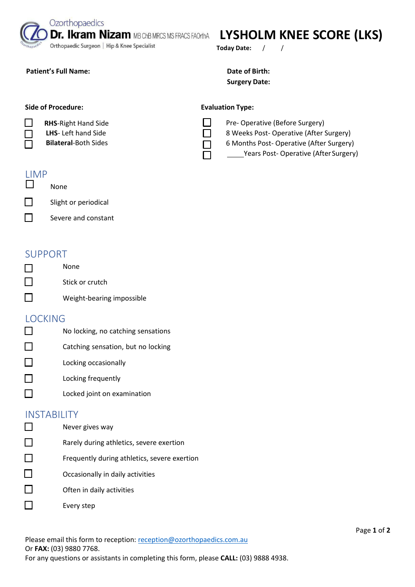Orthopaedic Surgeon | Hip & Knee Specialist

## **Dr. Ikram Nizam MB ChB MRCS MS FRACS FAOrthA** LYSHOLM KNEE SCORE (LKS)

**Today Date:** / /

#### Patient's Full Name: **Date of Birth: Date of Birth:**

# **Surgery Date:**

Pre- Operative (Before Surgery)

8 Weeks Post- Operative (After Surgery) 6 Months Post- Operative (After Surgery)

Years Post- Operative (After Surgery)

#### **Side of Procedure:** The Contract Evaluation Type:

**RHS**-Right Hand Side

Ozorthopaedics

**LHS**- Left hand Side

**Bilateral**-Both Sides

#### LIMP

- П None
- П Slight or periodical
- П Severe and constant

#### SUPPORT

- None П П Stick or crutch
- П Weight-bearing impossible

#### LOCKING

- П No locking, no catching sensations
- П Catching sensation, but no locking
- П Locking occasionally
- П Locking frequently
- П Locked joint on examination

### **INSTABILITY**

- П Never gives way П Rarely during athletics, severe exertion П Frequently during athletics, severe exertion
- П Occasionally in daily activities
- П Often in daily activities
- П Every step